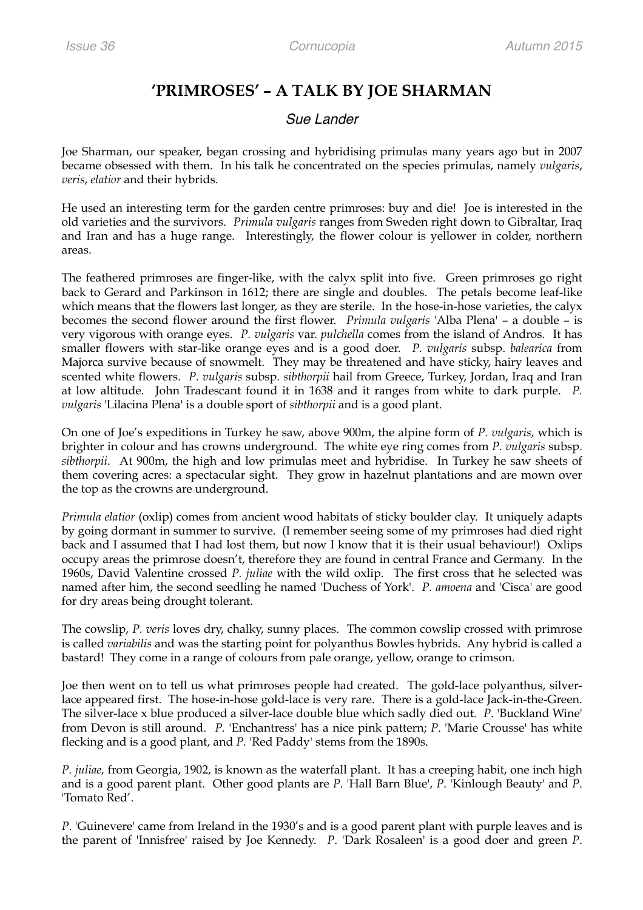## **'PRIMROSES' – A TALK BY JOE SHARMAN**

## *Sue Lander*

Joe Sharman, our speaker, began crossing and hybridising primulas many years ago but in 2007 became obsessed with them. In his talk he concentrated on the species primulas, namely *vulgaris*, *veris*, *elatior* and their hybrids.

He used an interesting term for the garden centre primroses: buy and die! Joe is interested in the old varieties and the survivors. *Primula vulgaris* ranges from Sweden right down to Gibraltar, Iraq and Iran and has a huge range. Interestingly, the flower colour is yellower in colder, northern areas.

The feathered primroses are finger-like, with the calyx split into five. Green primroses go right back to Gerard and Parkinson in 1612; there are single and doubles. The petals become leaf-like which means that the flowers last longer, as they are sterile. In the hose-in-hose varieties, the calyx becomes the second flower around the first flower. *Primula vulgaris* 'Alba Plena' – a double – is very vigorous with orange eyes. *P. vulgaris* var. *pulchella* comes from the island of Andros. It has smaller flowers with star-like orange eyes and is a good doer. *P. vulgaris* subsp. *balearica* from Majorca survive because of snowmelt. They may be threatened and have sticky, hairy leaves and scented white flowers. *P. vulgaris* subsp. *sibthorpii* hail from Greece, Turkey, Jordan, Iraq and Iran at low altitude. John Tradescant found it in 1638 and it ranges from white to dark purple. *P. vulgaris* 'Lilacina Plena' is a double sport of *sibthorpii* and is a good plant.

On one of Joe's expeditions in Turkey he saw, above 900m, the alpine form of *P. vulgaris*, which is brighter in colour and has crowns underground. The white eye ring comes from *P*. *vulgaris* subsp. *sibthorpii*. At 900m, the high and low primulas meet and hybridise. In Turkey he saw sheets of them covering acres: a spectacular sight. They grow in hazelnut plantations and are mown over the top as the crowns are underground.

*Primula elatior* (oxlip) comes from ancient wood habitats of sticky boulder clay. It uniquely adapts by going dormant in summer to survive. (I remember seeing some of my primroses had died right back and I assumed that I had lost them, but now I know that it is their usual behaviour!) Oxlips occupy areas the primrose doesn't, therefore they are found in central France and Germany. In the 1960s, David Valentine crossed *P. juliae* with the wild oxlip. The first cross that he selected was named after him, the second seedling he named 'Duchess of York'. *P. amoena* and 'Cisca' are good for dry areas being drought tolerant.

The cowslip, *P. veris* loves dry, chalky, sunny places. The common cowslip crossed with primrose is called *variabilis* and was the starting point for polyanthus Bowles hybrids. Any hybrid is called a bastard! They come in a range of colours from pale orange, yellow, orange to crimson.

Joe then went on to tell us what primroses people had created. The gold-lace polyanthus, silverlace appeared first. The hose-in-hose gold-lace is very rare. There is a gold-lace Jack-in-the-Green. The silver-lace x blue produced a silver-lace double blue which sadly died out. *P*. 'Buckland Wine' from Devon is still around. *P.* 'Enchantress' has a nice pink pattern; *P*. 'Marie Crousse' has white flecking and is a good plant, and *P.* 'Red Paddy' stems from the 1890s.

*P. juliae,* from Georgia, 1902, is known as the waterfall plant. It has a creeping habit, one inch high and is a good parent plant. Other good plants are *P*. 'Hall Barn Blue', *P*. 'Kinlough Beauty' and *P*. 'Tomato Red'.

*P*. 'Guinevere' came from Ireland in the 1930's and is a good parent plant with purple leaves and is the parent of 'Innisfree' raised by Joe Kennedy. *P*. 'Dark Rosaleen' is a good doer and green *P*.